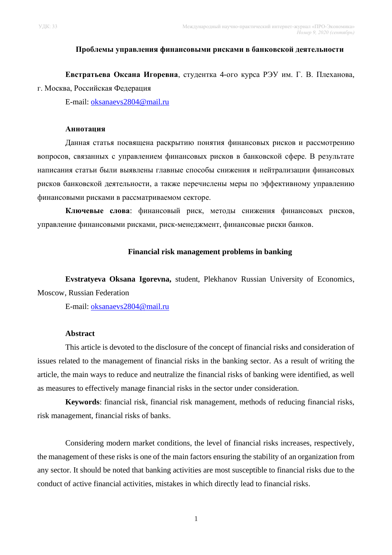## **Проблемы управления финансовыми рисками в банковской деятельности**

**Евстратьева Оксана Игоревна**, студентка 4-ого курса РЭУ им. Г. В. Плеханова, г. Москва, Российская Федерация

E-mail: [oksanaevs2804@mail.ru](mailto:oksanaevs2804@mail.ru)

## **Аннотация**

Данная статья посвящена раскрытию понятия финансовых рисков и рассмотрению вопросов, связанных с управлением финансовых рисков в банковской сфере. В результате написания статьи были выявлены главные способы снижения и нейтрализации финансовых рисков банковской деятельности, а также перечислены меры по эффективному управлению финансовыми рисками в рассматриваемом секторе.

**Ключевые слова**: финансовый риск, методы снижения финансовых рисков, управление финансовыми рисками, риск-менеджмент, финансовые риски банков.

# **Financial risk management problems in banking**

**Evstratyeva Oksana Igorevna,** student, Plekhanov Russian University of Economics, Moscow, Russian Federation

E-mail: [oksanaevs2804@mail.ru](mailto:oksanaevs2804@mail.ru)

#### **Abstract**

This article is devoted to the disclosure of the concept of financial risks and consideration of issues related to the management of financial risks in the banking sector. As a result of writing the article, the main ways to reduce and neutralize the financial risks of banking were identified, as well as measures to effectively manage financial risks in the sector under consideration.

**Keywords**: financial risk, financial risk management, methods of reducing financial risks, risk management, financial risks of banks.

Considering modern market conditions, the level of financial risks increases, respectively, the management of these risks is one of the main factors ensuring the stability of an organization from any sector. It should be noted that banking activities are most susceptible to financial risks due to the conduct of active financial activities, mistakes in which directly lead to financial risks.

1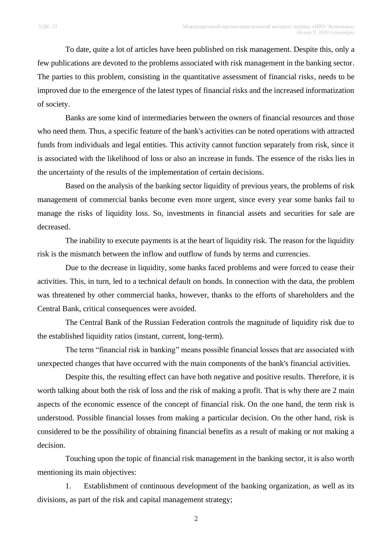To date, quite a lot of articles have been published on risk management. Despite this, only a few publications are devoted to the problems associated with risk management in the banking sector. The parties to this problem, consisting in the quantitative assessment of financial risks, needs to be improved due to the emergence of the latest types of financial risks and the increased informatization of society.

Banks are some kind of intermediaries between the owners of financial resources and those who need them. Thus, a specific feature of the bank's activities can be noted operations with attracted funds from individuals and legal entities. This activity cannot function separately from risk, since it is associated with the likelihood of loss or also an increase in funds. The essence of the risks lies in the uncertainty of the results of the implementation of certain decisions.

Based on the analysis of the banking sector liquidity of previous years, the problems of risk management of commercial banks become even more urgent, since every year some banks fail to manage the risks of liquidity loss. So, investments in financial assets and securities for sale are decreased.

The inability to execute payments is at the heart of liquidity risk. The reason for the liquidity risk is the mismatch between the inflow and outflow of funds by terms and currencies.

Due to the decrease in liquidity, some banks faced problems and were forced to cease their activities. This, in turn, led to a technical default on bonds. In connection with the data, the problem was threatened by other commercial banks, however, thanks to the efforts of shareholders and the Central Bank, critical consequences were avoided.

The Central Bank of the Russian Federation controls the magnitude of liquidity risk due to the established liquidity ratios (instant, current, long-term).

The term "financial risk in banking" means possible financial losses that are associated with unexpected changes that have occurred with the main components of the bank's financial activities.

Despite this, the resulting effect can have both negative and positive results. Therefore, it is worth talking about both the risk of loss and the risk of making a profit. That is why there are 2 main aspects of the economic essence of the concept of financial risk. On the one hand, the term risk is understood. Possible financial losses from making a particular decision. On the other hand, risk is considered to be the possibility of obtaining financial benefits as a result of making or not making a decision.

Touching upon the topic of financial risk management in the banking sector, it is also worth mentioning its main objectives:

1. Establishment of continuous development of the banking organization, as well as its divisions, as part of the risk and capital management strategy;

2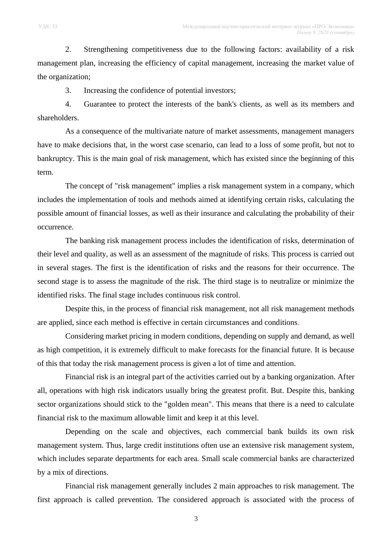2. Strengthening competitiveness due to the following factors: availability of a risk management plan, increasing the efficiency of capital management, increasing the market value of the organization;

3. Increasing the confidence of potential investors;

4. Guarantee to protect the interests of the bank's clients, as well as its members and shareholders.

As a consequence of the multivariate nature of market assessments, management managers have to make decisions that, in the worst case scenario, can lead to a loss of some profit, but not to bankruptcy. This is the main goal of risk management, which has existed since the beginning of this term.

The concept of "risk management" implies a risk management system in a company, which includes the implementation of tools and methods aimed at identifying certain risks, calculating the possible amount of financial losses, as well as their insurance and calculating the probability of their occurrence.

The banking risk management process includes the identification of risks, determination of their level and quality, as well as an assessment of the magnitude of risks. This process is carried out in several stages. The first is the identification of risks and the reasons for their occurrence. The second stage is to assess the magnitude of the risk. The third stage is to neutralize or minimize the identified risks. The final stage includes continuous risk control.

Despite this, in the process of financial risk management, not all risk management methods are applied, since each method is effective in certain circumstances and conditions.

Considering market pricing in modern conditions, depending on supply and demand, as well as high competition, it is extremely difficult to make forecasts for the financial future. It is because of this that today the risk management process is given a lot of time and attention.

Financial risk is an integral part of the activities carried out by a banking organization. After all, operations with high risk indicators usually bring the greatest profit. But. Despite this, banking sector organizations should stick to the "golden mean". This means that there is a need to calculate financial risk to the maximum allowable limit and keep it at this level.

Depending on the scale and objectives, each commercial bank builds its own risk management system. Thus, large credit institutions often use an extensive risk management system, which includes separate departments for each area. Small scale commercial banks are characterized by a mix of directions.

Financial risk management generally includes 2 main approaches to risk management. The first approach is called prevention. The considered approach is associated with the process of

3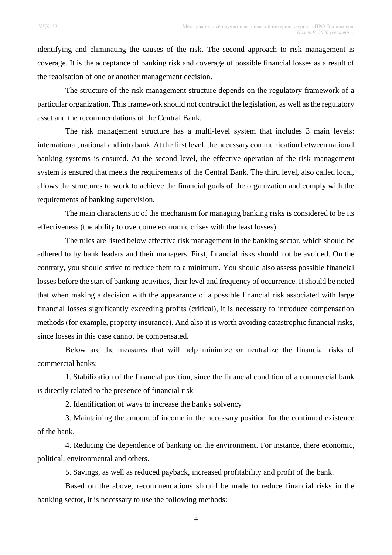identifying and eliminating the causes of the risk. The second approach to risk management is coverage. It is the acceptance of banking risk and coverage of possible financial losses as a result of the reaoisation of one or another management decision.

The structure of the risk management structure depends on the regulatory framework of a particular organization. This framework should not contradict the legislation, as well as the regulatory asset and the recommendations of the Central Bank.

The risk management structure has a multi-level system that includes 3 main levels: international, national and intrabank. At the first level, the necessary communication between national banking systems is ensured. At the second level, the effective operation of the risk management system is ensured that meets the requirements of the Central Bank. The third level, also called local, allows the structures to work to achieve the financial goals of the organization and comply with the requirements of banking supervision.

The main characteristic of the mechanism for managing banking risks is considered to be its effectiveness (the ability to overcome economic crises with the least losses).

The rules are listed below effective risk management in the banking sector, which should be adhered to by bank leaders and their managers. First, financial risks should not be avoided. On the contrary, you should strive to reduce them to a minimum. You should also assess possible financial losses before the start of banking activities, their level and frequency of occurrence. It should be noted that when making a decision with the appearance of a possible financial risk associated with large financial losses significantly exceeding profits (critical), it is necessary to introduce compensation methods (for example, property insurance). And also it is worth avoiding catastrophic financial risks, since losses in this case cannot be compensated.

Below are the measures that will help minimize or neutralize the financial risks of commercial banks:

1. Stabilization of the financial position, since the financial condition of a commercial bank is directly related to the presence of financial risk

2. Identification of ways to increase the bank's solvency

3. Maintaining the amount of income in the necessary position for the continued existence of the bank.

4. Reducing the dependence of banking on the environment. For instance, there economic, political, environmental and others.

5. Savings, as well as reduced payback, increased profitability and profit of the bank.

Based on the above, recommendations should be made to reduce financial risks in the banking sector, it is necessary to use the following methods: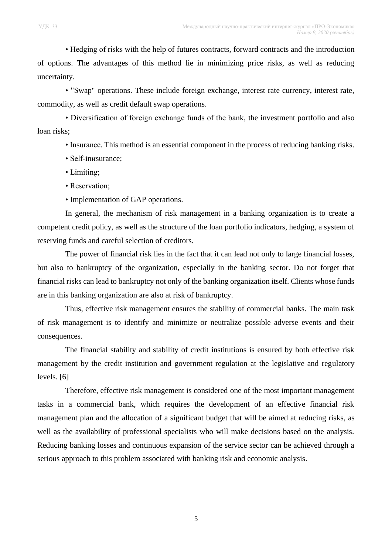• Hedging of risks with the help of futures contracts, forward contracts and the introduction of options. The advantages of this method lie in minimizing price risks, as well as reducing uncertainty.

• "Swap" operations. These include foreign exchange, interest rate currency, interest rate, commodity, as well as credit default swap operations.

• Diversification of foreign exchange funds of the bank, the investment portfolio and also loan risks;

• Insurance. This method is an essential component in the process of reducing banking risks.

- Self-inиsurance;
- Limiting;
- Reservation;
- Implementation of GAP operations.

In general, the mechanism of risk management in a banking organization is to create a competent credit policy, as well as the structure of the loan portfolio indicators, hedging, a system of reserving funds and careful selection of creditors.

The power of financial risk lies in the fact that it can lead not only to large financial losses, but also to bankruptcy of the organization, especially in the banking sector. Do not forget that financial risks can lead to bankruptcy not only of the banking organization itself. Clients whose funds are in this banking organization are also at risk of bankruptcy.

Thus, effective risk management ensures the stability of commercial banks. The main task of risk management is to identify and minimize or neutralize possible adverse events and their consequences.

The financial stability and stability of credit institutions is ensured by both effective risk management by the credit institution and government regulation at the legislative and regulatory levels. [6]

Therefore, effective risk management is considered one of the most important management tasks in a commercial bank, which requires the development of an effective financial risk management plan and the allocation of a significant budget that will be aimed at reducing risks, as well as the availability of professional specialists who will make decisions based on the analysis. Reducing banking losses and continuous expansion of the service sector can be achieved through a serious approach to this problem associated with banking risk and economic analysis.